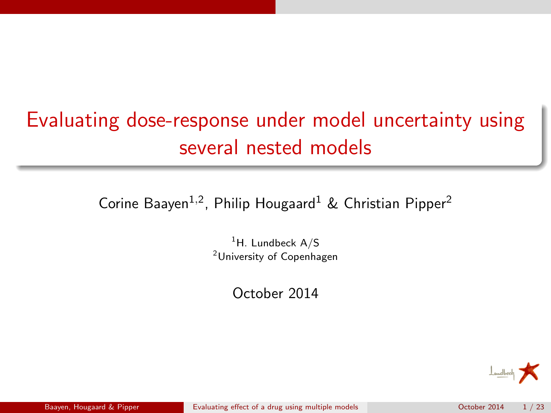# Evaluating dose-response under model uncertainty using several nested models

Corine Baayen<sup>1,2</sup>, Philip Hougaard<sup>1</sup> & Christian Pipper<sup>2</sup>

 $<sup>1</sup>H$ . Lundbeck A/S</sup> <sup>2</sup>University of Copenhagen

October 2014

<span id="page-0-0"></span>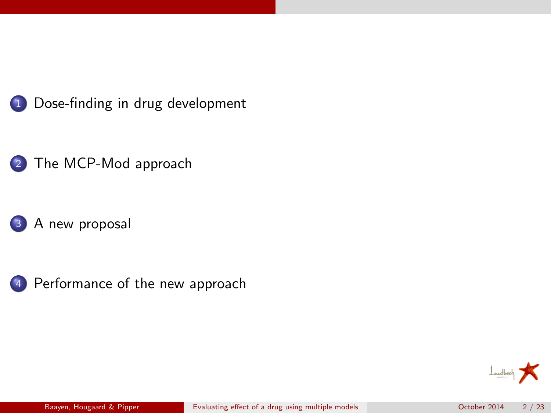







[Performance of the new approach](#page-15-0)

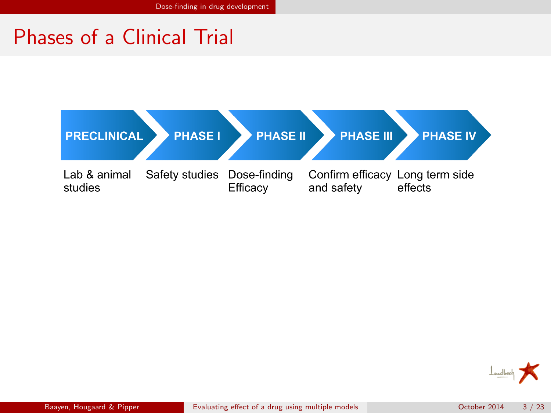## Phases of a Clinical Trial



<span id="page-2-0"></span>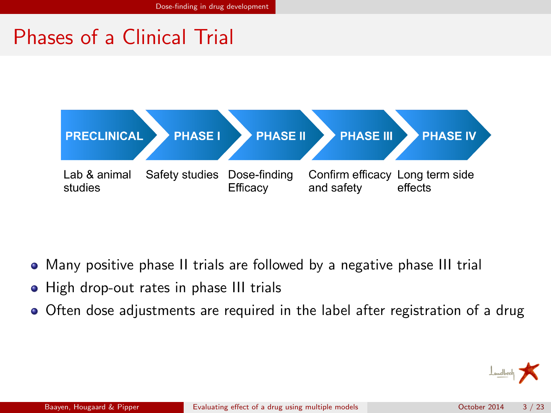## Phases of a Clinical Trial



- Many positive phase II trials are followed by a negative phase III trial
- High drop-out rates in phase III trials
- <span id="page-3-0"></span>Often dose adjustments are required in the label after registration of a drug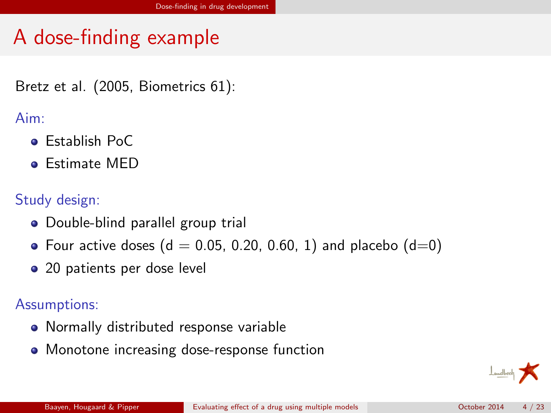# A dose-finding example

Bretz et al. (2005, Biometrics 61):

### Aim:

- **e** Establish PoC
- **e** Estimate MED

### Study design:

- Double-blind parallel group trial
- Four active doses ( $d = 0.05, 0.20, 0.60, 1$ ) and placebo ( $d=0$ )
- 20 patients per dose level

### Assumptions:

- Normally distributed response variable
- <span id="page-4-0"></span>Monotone increasing dose-response function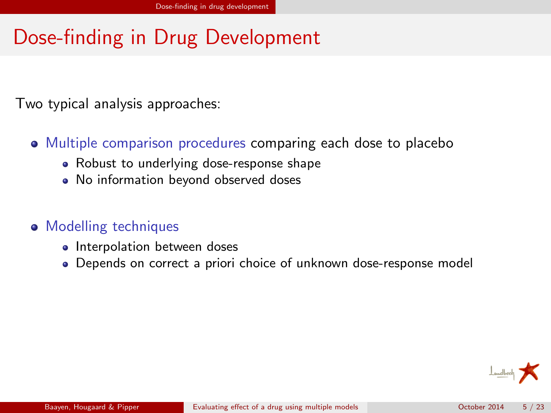# Dose-finding in Drug Development

Two typical analysis approaches:

- Multiple comparison procedures comparing each dose to placebo
	- Robust to underlying dose-response shape
	- No information beyond observed doses
- Modelling techniques
	- Interpolation between doses
	- Depends on correct a priori choice of unknown dose-response model

<span id="page-5-0"></span>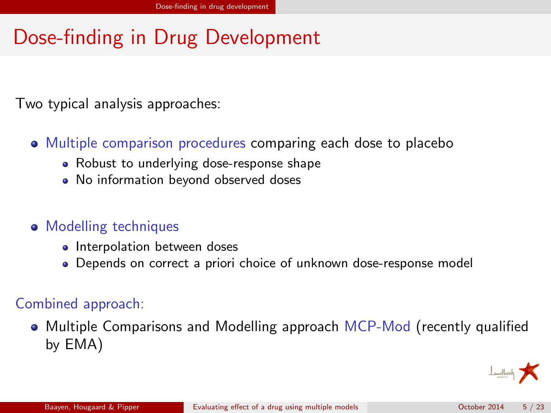# Dose-finding in Drug Development

Two typical analysis approaches:

- Multiple comparison procedures comparing each dose to placebo
	- Robust to underlying dose-response shape
	- No information beyond observed doses
- Modelling techniques
	- Interpolation between doses
	- Depends on correct a priori choice of unknown dose-response model

### Combined approach:

• Multiple Comparisons and Modelling approach MCP-Mod (recently qualified by EMA)

<span id="page-6-0"></span>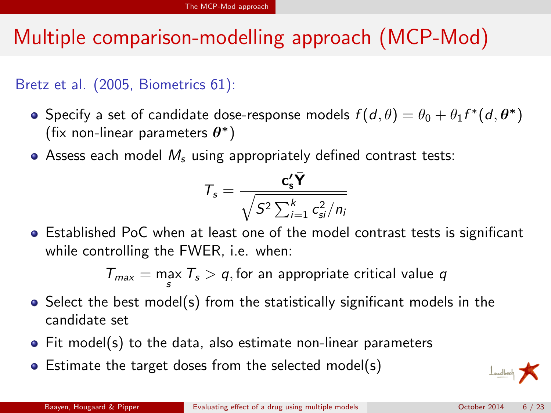# Multiple comparison-modelling approach (MCP-Mod)

### Bretz et al. (2005, Biometrics 61):

- Specify a set of candidate dose-response models  $f(d, \theta) = \theta_0 + \theta_1 f^*(d, \boldsymbol{\theta^*})$ (fix non-linear parameters  $\theta^*$ )
- $\bullet$  Assess each model  $M_s$  using appropriately defined contrast tests:

<span id="page-7-0"></span>
$$
T_s = \frac{c_s' \overline{Y}}{\sqrt{S^2 \sum_{i=1}^k c_{si}^2/n_i}}
$$

Established PoC when at least one of the model contrast tests is significant while controlling the FWER, i.e. when:

$$
T_{\text{max}} = \max_{s} T_s > q
$$
, for an appropriate critical value  $q$ 

- $\bullet$  Select the best model(s) from the statistically significant models in the candidate set
- Fit model(s) to the data, also estimate non-linear parameters
- Estimate the target doses from the selected model(s)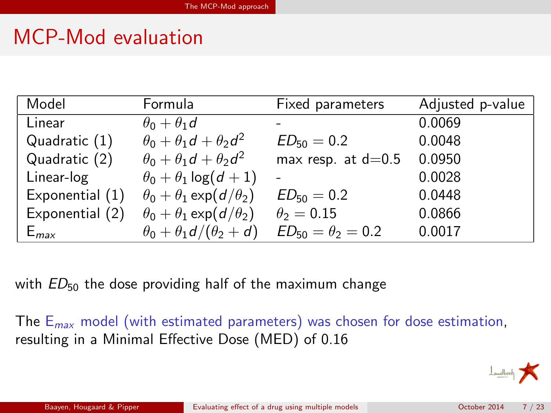# MCP-Mod evaluation

| Model           | Formula                                | Fixed parameters           | Adjusted p-value |
|-----------------|----------------------------------------|----------------------------|------------------|
| Linear          | $\theta_0 + \theta_1 d$                |                            | 0.0069           |
| Quadratic (1)   | $\theta_0 + \theta_1 d + \theta_2 d^2$ | $ED_{50} = 0.2$            | 0.0048           |
| Quadratic (2)   | $\theta_0 + \theta_1 d + \theta_2 d^2$ | max resp. at $d=0.5$       | 0.0950           |
| Linear-log      | $\theta_0 + \theta_1 \log(d+1)$        |                            | 0.0028           |
| Exponential (1) | $\theta_0 + \theta_1 \exp(d/\theta_2)$ | $ED_{50} = 0.2$            | 0.0448           |
| Exponential (2) | $\theta_0 + \theta_1 \exp(d/\theta_2)$ | $\theta_2=0.15$            | 0.0866           |
| $E_{max}$       | $\theta_0 + \theta_1 d/(\theta_2 + d)$ | $ED_{50} = \theta_2 = 0.2$ | 0.0017           |

with  $ED_{50}$  the dose providing half of the maximum change

The  $E_{max}$  model (with estimated parameters) was chosen for dose estimation, resulting in a Minimal Effective Dose (MED) of 0.16

<span id="page-8-0"></span>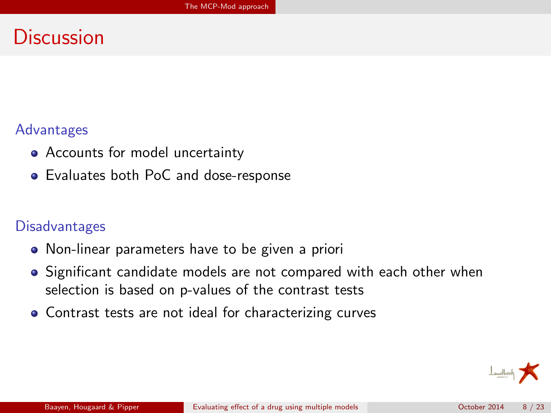## Discussion

#### Advantages

- Accounts for model uncertainty
- Evaluates both PoC and dose-response

#### **Disadvantages**

- Non-linear parameters have to be given a priori
- Significant candidate models are not compared with each other when selection is based on p-values of the contrast tests
- Contrast tests are not ideal for characterizing curves

<span id="page-9-0"></span>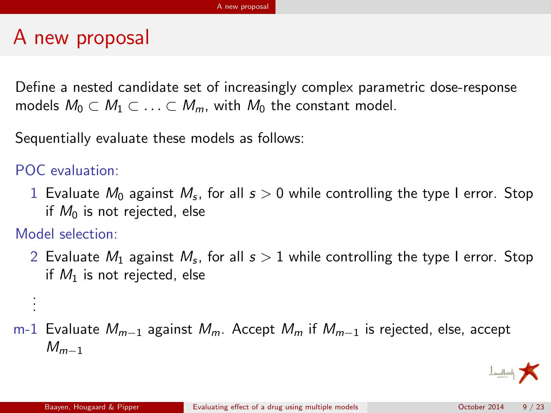# A new proposal

Define a nested candidate set of increasingly complex parametric dose-response models  $M_0 \subset M_1 \subset \ldots \subset M_m$ , with  $M_0$  the constant model.

Sequentially evaluate these models as follows:

### POC evaluation:

 $1\,$  Evaluate  $M_0$  against  $M_s$ , for all  $s>0$  while controlling the type I error. Stop if  $M_0$  is not rejected, else

Model selection:

<span id="page-10-0"></span>. . .

 $2\,$  Evaluate  $M_1$  against  $M_{\rm s}$ , for all  $s>1$  while controlling the type I error. Stop if  $M_1$  is not rejected, else

### m-1 Evaluate  $M_{m-1}$  against  $M_m$ . Accept  $M_m$  if  $M_{m-1}$  is rejected, else, accept  $M_{m-1}$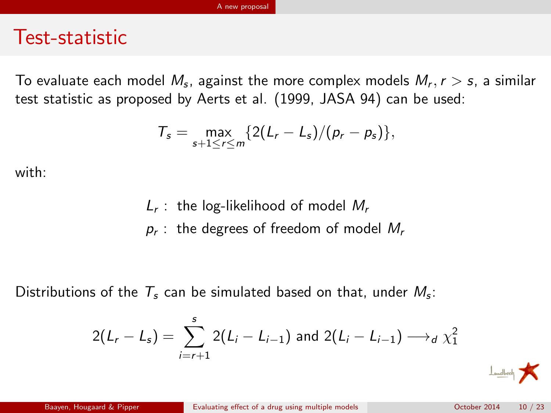### Test-statistic

To evaluate each model  $M_s$ , against the more complex models  $M_r, r>s$ , a similar test statistic as proposed by Aerts et al. (1999, JASA 94) can be used:

$$
\mathcal{T}_s = \max_{s+1\leq r\leq m}\{2(L_r-L_s)/(p_r-p_s)\},
$$

with:

<span id="page-11-0"></span> $L_r$ : the log-likelihood of model  $M_r$  $\rho_{\mathsf{r}}$  : the degrees of freedom of model  $M_{\mathsf{r}}$ 

Distributions of the  $T_s$  can be simulated based on that, under  $M_s$ :

$$
2(L_r - L_s) = \sum_{i=r+1}^{s} 2(L_i - L_{i-1}) \text{ and } 2(L_i - L_{i-1}) \longrightarrow_d \chi_1^2
$$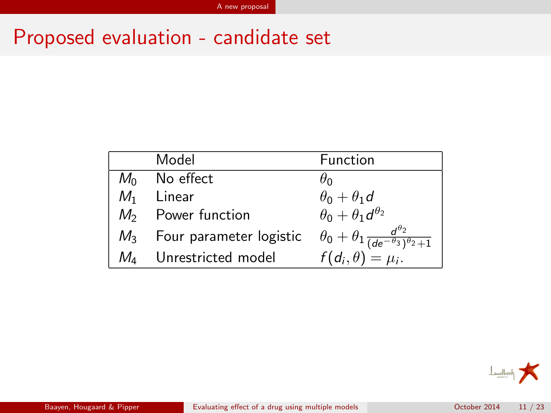# Proposed evaluation - candidate set

| Model                         | Function                                                                 |
|-------------------------------|--------------------------------------------------------------------------|
| $M_0$ No effect               | $\theta_0$                                                               |
| $M_1$ Linear                  | $\theta_0 + \theta_1 d$                                                  |
| $M_2$ Power function          | $\theta_0 + \theta_1 d^{\theta_2}$                                       |
| $M_3$ Four parameter logistic | $\theta_0 + \theta_1 \frac{d^{\theta_2}}{(de^{-\theta_3})^{\theta_2}+1}$ |
| $M_4$ Unrestricted model      | $f(d_i, \theta) = \mu_i$ .                                               |

<span id="page-12-0"></span>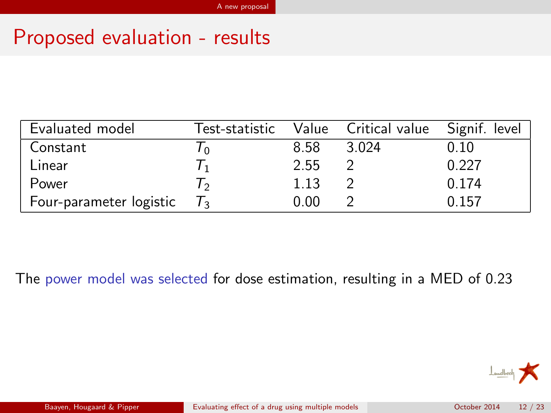## Proposed evaluation - results

| Evaluated model         | Test-statistic |      | Value Critical value Signif. level |       |
|-------------------------|----------------|------|------------------------------------|-------|
| Constant                |                | 8.58 | 3.024                              | 0.10  |
| Linear                  |                | 2.55 |                                    | 0.227 |
| Power                   |                | 1.13 |                                    | 0.174 |
| Four-parameter logistic |                | 0.00 |                                    | 0.157 |

The power model was selected for dose estimation, resulting in a MED of 0.23

<span id="page-13-0"></span>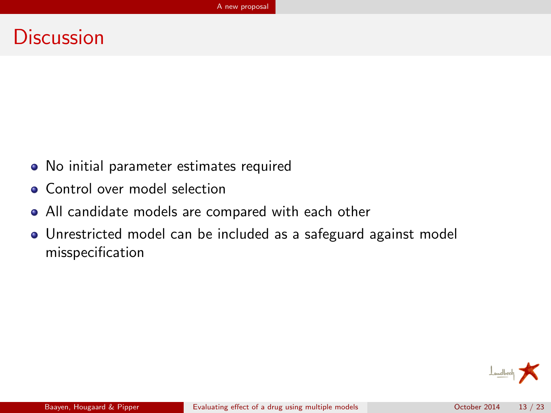### **Discussion**

- No initial parameter estimates required
- **Control over model selection**
- All candidate models are compared with each other
- Unrestricted model can be included as a safeguard against model misspecification

<span id="page-14-0"></span>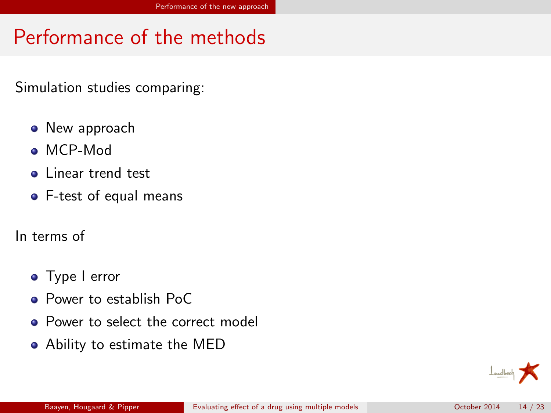# Performance of the methods

Simulation studies comparing:

- New approach
- MCP-Mod
- **o** Linear trend test
- F-test of equal means
- In terms of
	- **o** Type I error
	- **Power to establish PoC**
	- Power to select the correct model
	- Ability to estimate the MED

<span id="page-15-0"></span>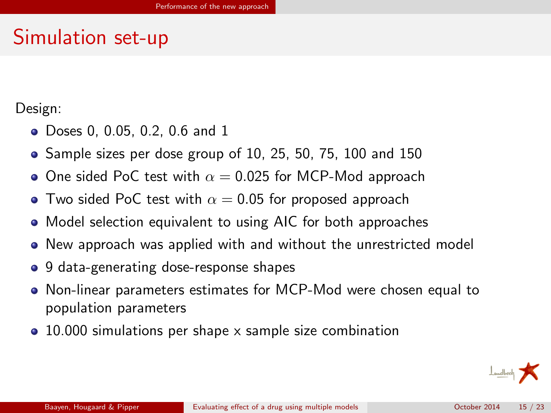## Simulation set-up

Design:

- Doses 0, 0.05, 0.2, 0.6 and 1
- Sample sizes per dose group of 10, 25, 50, 75, 100 and 150
- One sided PoC test with  $\alpha = 0.025$  for MCP-Mod approach
- Two sided PoC test with  $\alpha = 0.05$  for proposed approach
- Model selection equivalent to using AIC for both approaches
- New approach was applied with and without the unrestricted model
- 9 data-generating dose-response shapes
- Non-linear parameters estimates for MCP-Mod were chosen equal to population parameters
- <span id="page-16-0"></span>• 10.000 simulations per shape x sample size combination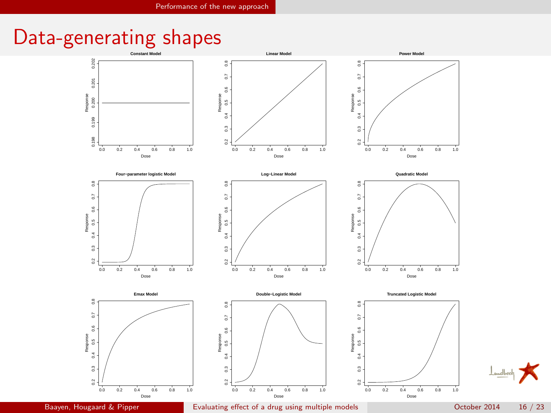# Data-generating shapes



<span id="page-17-0"></span>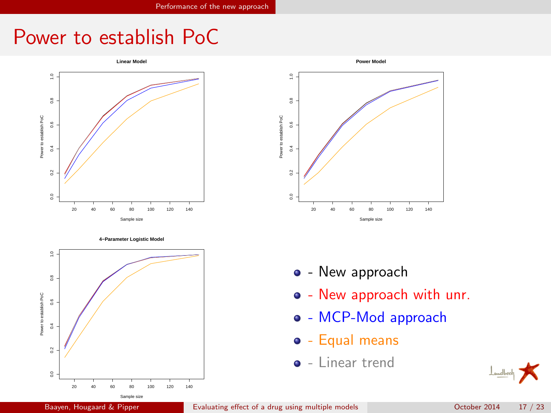## Power to establish PoC



**4−Parameter Logistic Model**





- - New approach
- New approach with unr.
- o MCP-Mod approach
- $\bullet$  Equal means
- $\bullet$  Linear trend

<span id="page-18-0"></span>

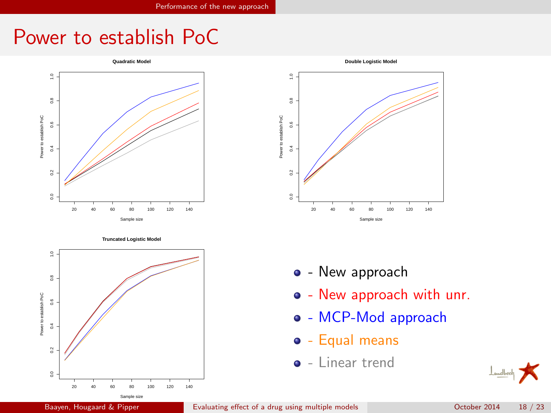## Power to establish PoC



**Truncated Logistic Model**





- - New approach
- New approach with unr.
- o MCP-Mod approach
- $\bullet$  Equal means
- <span id="page-19-0"></span> $\bullet$  - Linear trend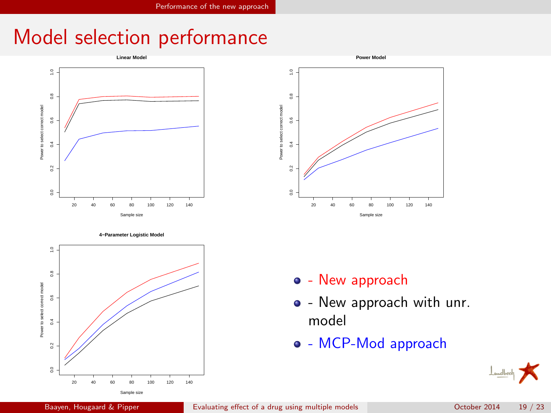# Model selection performance



0.0 0.2 0.4 0.6 0.8 1.0 wer to select correct model Power to select correct model  $\mathbb S$ ž š 20 40 60 80 100 120 140

**Power Model**



- $\bullet$  New approach
- - New approach with unr. model
- MCP-Mod approach

Sample size

<span id="page-20-0"></span>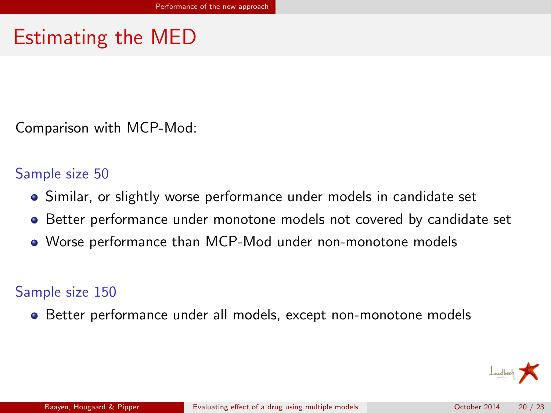# Estimating the MED

Comparison with MCP-Mod:

#### Sample size 50

- Similar, or slightly worse performance under models in candidate set
- **Better performance under monotone models not covered by candidate set**
- Worse performance than MCP-Mod under non-monotone models

### Sample size 150

Better performance under all models, except non-monotone models

<span id="page-21-0"></span>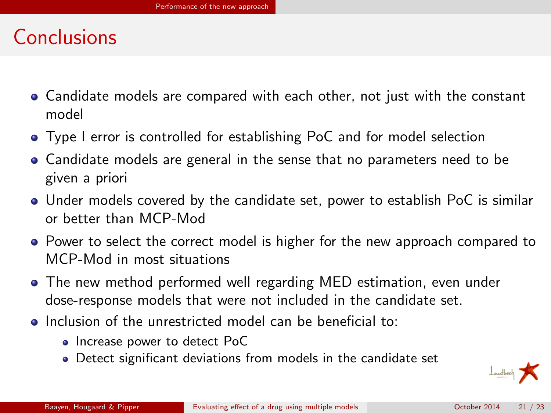## Conclusions

- Candidate models are compared with each other, not just with the constant model
- Type I error is controlled for establishing PoC and for model selection
- Candidate models are general in the sense that no parameters need to be given a priori
- Under models covered by the candidate set, power to establish PoC is similar or better than MCP-Mod
- Power to select the correct model is higher for the new approach compared to MCP-Mod in most situations
- The new method performed well regarding MED estimation, even under dose-response models that were not included in the candidate set.
- Inclusion of the unrestricted model can be beneficial to:
	- Increase power to detect PoC
	- Detect significant deviations from models in the candidate set

<span id="page-22-0"></span>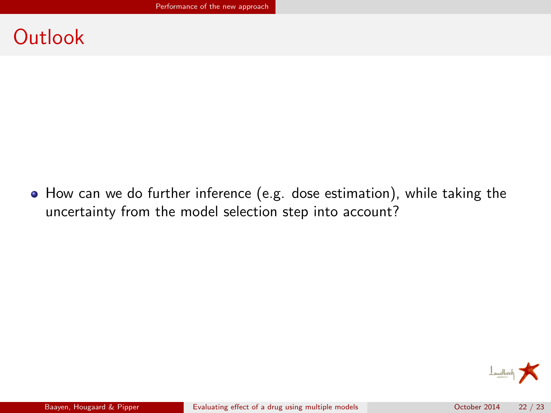### **Outlook**

How can we do further inference (e.g. dose estimation), while taking the uncertainty from the model selection step into account?

<span id="page-23-0"></span>